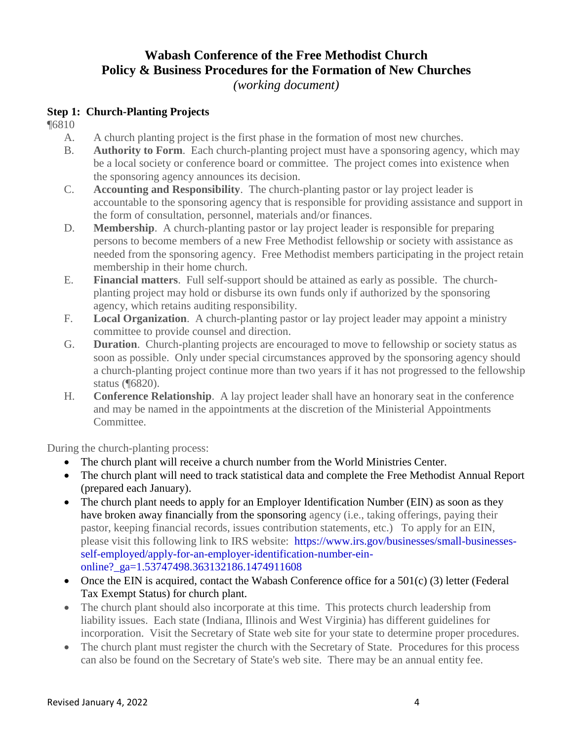# **Wabash Conference of the Free Methodist Church Policy & Business Procedures for the Formation of New Churches**

*(working document)*

### **Step 1: Church-Planting Projects**

¶6810

- A. A church planting project is the first phase in the formation of most new churches.
- B. **Authority to Form**. Each church-planting project must have a sponsoring agency, which may be a local society or conference board or committee. The project comes into existence when the sponsoring agency announces its decision.
- C. **Accounting and Responsibility**. The church-planting pastor or lay project leader is accountable to the sponsoring agency that is responsible for providing assistance and support in the form of consultation, personnel, materials and/or finances.
- D. **Membership**. A church-planting pastor or lay project leader is responsible for preparing persons to become members of a new Free Methodist fellowship or society with assistance as needed from the sponsoring agency. Free Methodist members participating in the project retain membership in their home church.
- E. **Financial matters**. Full self-support should be attained as early as possible. The churchplanting project may hold or disburse its own funds only if authorized by the sponsoring agency, which retains auditing responsibility.
- F. **Local Organization**. A church-planting pastor or lay project leader may appoint a ministry committee to provide counsel and direction.
- G. **Duration**. Church-planting projects are encouraged to move to fellowship or society status as soon as possible. Only under special circumstances approved by the sponsoring agency should a church-planting project continue more than two years if it has not progressed to the fellowship status (¶6820).
- H. **Conference Relationship**. A lay project leader shall have an honorary seat in the conference and may be named in the appointments at the discretion of the Ministerial Appointments Committee.

During the church-planting process:

- The church plant will receive a church number from the World Ministries Center.
- The church plant will need to track statistical data and complete the Free Methodist Annual Report (prepared each January).
- The church plant needs to apply for an Employer Identification Number (EIN) as soon as they have broken away financially from the sponsoring agency (i.e., taking offerings, paying their pastor, keeping financial records, issues contribution statements, etc.) To apply for an EIN, please visit this following link to IRS website: https://www.irs.gov/businesses/small-businessesself-employed/apply-for-an-employer-identification-number-einonline?\_ga=1.53747498.363132186.1474911608
- Once the EIN is acquired, contact the Wabash Conference office for a  $501(c)$  (3) letter (Federal Tax Exempt Status) for church plant.
- The church plant should also incorporate at this time. This protects church leadership from liability issues. Each state (Indiana, Illinois and West Virginia) has different guidelines for incorporation. Visit the Secretary of State web site for your state to determine proper procedures.
- The church plant must register the church with the Secretary of State. Procedures for this process can also be found on the Secretary of State's web site. There may be an annual entity fee.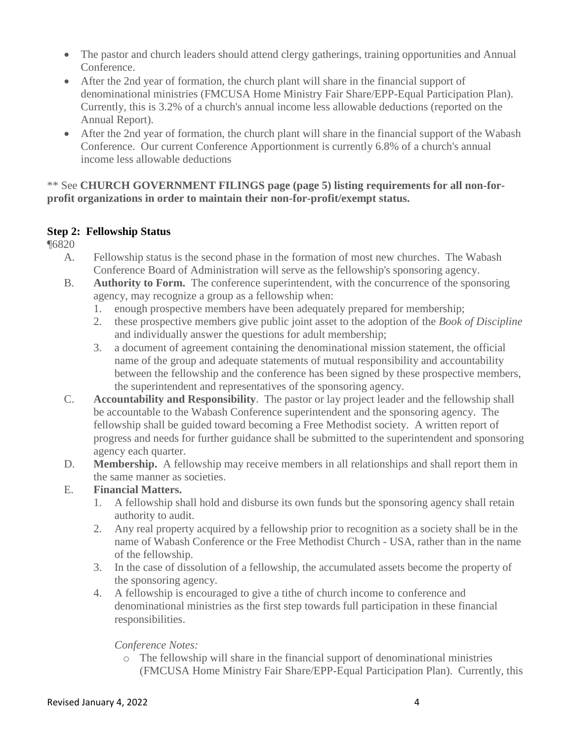- The pastor and church leaders should attend clergy gatherings, training opportunities and Annual Conference.
- After the 2nd year of formation, the church plant will share in the financial support of denominational ministries (FMCUSA Home Ministry Fair Share/EPP-Equal Participation Plan). Currently, this is 3.2% of a church's annual income less allowable deductions (reported on the Annual Report).
- After the 2nd year of formation, the church plant will share in the financial support of the Wabash Conference. Our current Conference Apportionment is currently 6.8% of a church's annual income less allowable deductions

### \*\* See **CHURCH GOVERNMENT FILINGS page (page 5) listing requirements for all non-forprofit organizations in order to maintain their non-for-profit/exempt status.**

# **Step 2: Fellowship Status**

¶6820

- A. Fellowship status is the second phase in the formation of most new churches. The Wabash Conference Board of Administration will serve as the fellowship's sponsoring agency.
- B. **Authority to Form.** The conference superintendent, with the concurrence of the sponsoring agency, may recognize a group as a fellowship when:
	- 1. enough prospective members have been adequately prepared for membership;
	- 2. these prospective members give public joint asset to the adoption of the *Book of Discipline* and individually answer the questions for adult membership;
	- 3. a document of agreement containing the denominational mission statement, the official name of the group and adequate statements of mutual responsibility and accountability between the fellowship and the conference has been signed by these prospective members, the superintendent and representatives of the sponsoring agency.
- C. **Accountability and Responsibility**. The pastor or lay project leader and the fellowship shall be accountable to the Wabash Conference superintendent and the sponsoring agency. The fellowship shall be guided toward becoming a Free Methodist society. A written report of progress and needs for further guidance shall be submitted to the superintendent and sponsoring agency each quarter.
- D. **Membership.** A fellowship may receive members in all relationships and shall report them in the same manner as societies.

# E. **Financial Matters.**

- 1. A fellowship shall hold and disburse its own funds but the sponsoring agency shall retain authority to audit.
- 2. Any real property acquired by a fellowship prior to recognition as a society shall be in the name of Wabash Conference or the Free Methodist Church - USA, rather than in the name of the fellowship.
- 3. In the case of dissolution of a fellowship, the accumulated assets become the property of the sponsoring agency.
- 4. A fellowship is encouraged to give a tithe of church income to conference and denominational ministries as the first step towards full participation in these financial responsibilities.

### *Conference Notes:*

o The fellowship will share in the financial support of denominational ministries (FMCUSA Home Ministry Fair Share/EPP-Equal Participation Plan). Currently, this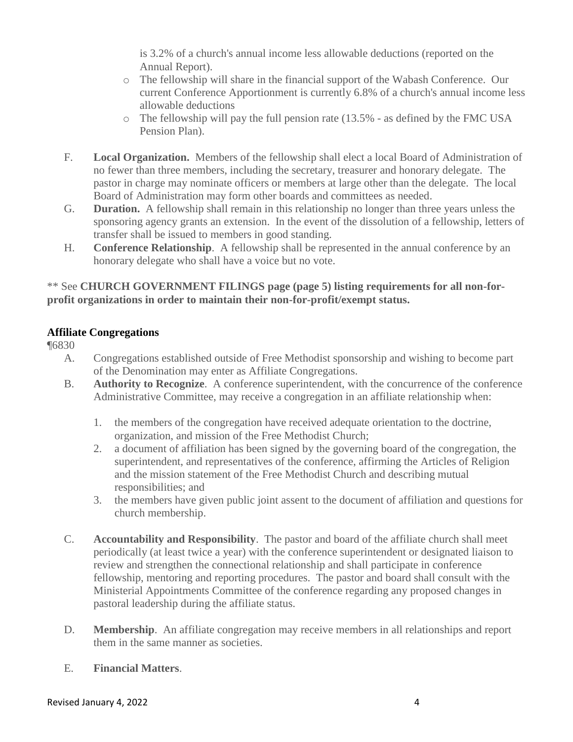is 3.2% of a church's annual income less allowable deductions (reported on the Annual Report).

- o The fellowship will share in the financial support of the Wabash Conference. Our current Conference Apportionment is currently 6.8% of a church's annual income less allowable deductions
- o The fellowship will pay the full pension rate (13.5% as defined by the FMC USA Pension Plan).
- F. **Local Organization.** Members of the fellowship shall elect a local Board of Administration of no fewer than three members, including the secretary, treasurer and honorary delegate. The pastor in charge may nominate officers or members at large other than the delegate. The local Board of Administration may form other boards and committees as needed.
- G. **Duration.** A fellowship shall remain in this relationship no longer than three years unless the sponsoring agency grants an extension. In the event of the dissolution of a fellowship, letters of transfer shall be issued to members in good standing.
- H. **Conference Relationship**. A fellowship shall be represented in the annual conference by an honorary delegate who shall have a voice but no vote.

### \*\* See **CHURCH GOVERNMENT FILINGS page (page 5) listing requirements for all non-forprofit organizations in order to maintain their non-for-profit/exempt status.**

# **Affiliate Congregations**

¶6830

- A. Congregations established outside of Free Methodist sponsorship and wishing to become part of the Denomination may enter as Affiliate Congregations.
- B. **Authority to Recognize**. A conference superintendent, with the concurrence of the conference Administrative Committee, may receive a congregation in an affiliate relationship when:
	- 1. the members of the congregation have received adequate orientation to the doctrine, organization, and mission of the Free Methodist Church;
	- 2. a document of affiliation has been signed by the governing board of the congregation, the superintendent, and representatives of the conference, affirming the Articles of Religion and the mission statement of the Free Methodist Church and describing mutual responsibilities; and
	- 3. the members have given public joint assent to the document of affiliation and questions for church membership.
- C. **Accountability and Responsibility**. The pastor and board of the affiliate church shall meet periodically (at least twice a year) with the conference superintendent or designated liaison to review and strengthen the connectional relationship and shall participate in conference fellowship, mentoring and reporting procedures. The pastor and board shall consult with the Ministerial Appointments Committee of the conference regarding any proposed changes in pastoral leadership during the affiliate status.
- D. **Membership**. An affiliate congregation may receive members in all relationships and report them in the same manner as societies.
- E. **Financial Matters**.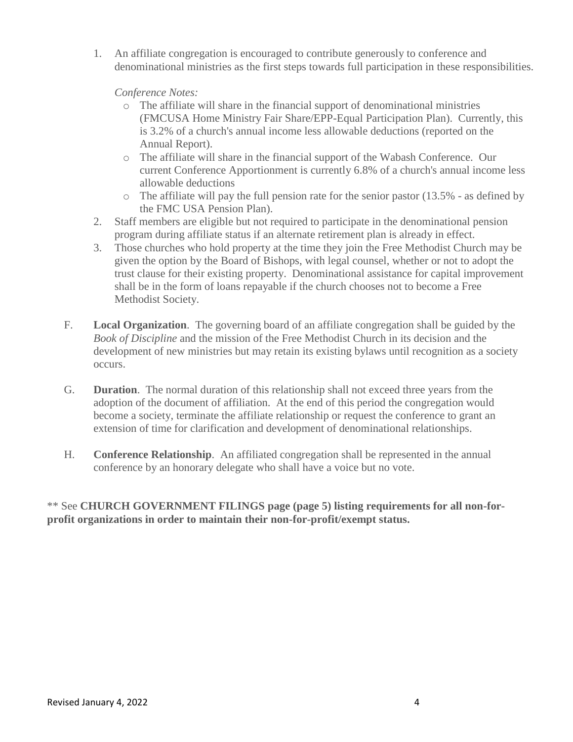1. An affiliate congregation is encouraged to contribute generously to conference and denominational ministries as the first steps towards full participation in these responsibilities.

*Conference Notes:*

- o The affiliate will share in the financial support of denominational ministries (FMCUSA Home Ministry Fair Share/EPP-Equal Participation Plan). Currently, this is 3.2% of a church's annual income less allowable deductions (reported on the Annual Report).
- o The affiliate will share in the financial support of the Wabash Conference. Our current Conference Apportionment is currently 6.8% of a church's annual income less allowable deductions
- o The affiliate will pay the full pension rate for the senior pastor (13.5% as defined by the FMC USA Pension Plan).
- 2. Staff members are eligible but not required to participate in the denominational pension program during affiliate status if an alternate retirement plan is already in effect.
- 3. Those churches who hold property at the time they join the Free Methodist Church may be given the option by the Board of Bishops, with legal counsel, whether or not to adopt the trust clause for their existing property. Denominational assistance for capital improvement shall be in the form of loans repayable if the church chooses not to become a Free Methodist Society.
- F. **Local Organization**. The governing board of an affiliate congregation shall be guided by the *Book of Discipline* and the mission of the Free Methodist Church in its decision and the development of new ministries but may retain its existing bylaws until recognition as a society occurs.
- G. **Duration**. The normal duration of this relationship shall not exceed three years from the adoption of the document of affiliation. At the end of this period the congregation would become a society, terminate the affiliate relationship or request the conference to grant an extension of time for clarification and development of denominational relationships.
- H. **Conference Relationship**. An affiliated congregation shall be represented in the annual conference by an honorary delegate who shall have a voice but no vote.

\*\* See **CHURCH GOVERNMENT FILINGS page (page 5) listing requirements for all non-forprofit organizations in order to maintain their non-for-profit/exempt status.**